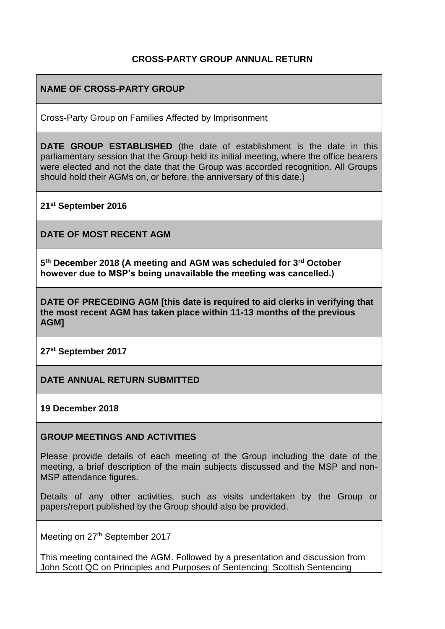### **CROSS-PARTY GROUP ANNUAL RETURN**

## **NAME OF CROSS-PARTY GROUP**

Cross-Party Group on Families Affected by Imprisonment

**DATE GROUP ESTABLISHED** (the date of establishment is the date in this parliamentary session that the Group held its initial meeting, where the office bearers were elected and not the date that the Group was accorded recognition. All Groups should hold their AGMs on, or before, the anniversary of this date.)

**21st September 2016**

**DATE OF MOST RECENT AGM**

**5 th December 2018 (A meeting and AGM was scheduled for 3rd October however due to MSP's being unavailable the meeting was cancelled.)**

**DATE OF PRECEDING AGM [this date is required to aid clerks in verifying that the most recent AGM has taken place within 11-13 months of the previous AGM]**

**27st September 2017**

**DATE ANNUAL RETURN SUBMITTED**

**19 December 2018**

#### **GROUP MEETINGS AND ACTIVITIES**

Please provide details of each meeting of the Group including the date of the meeting, a brief description of the main subjects discussed and the MSP and non-MSP attendance figures.

Details of any other activities, such as visits undertaken by the Group or papers/report published by the Group should also be provided.

Meeting on 27<sup>th</sup> September 2017

This meeting contained the AGM. Followed by a presentation and discussion from John Scott QC on Principles and Purposes of Sentencing: Scottish Sentencing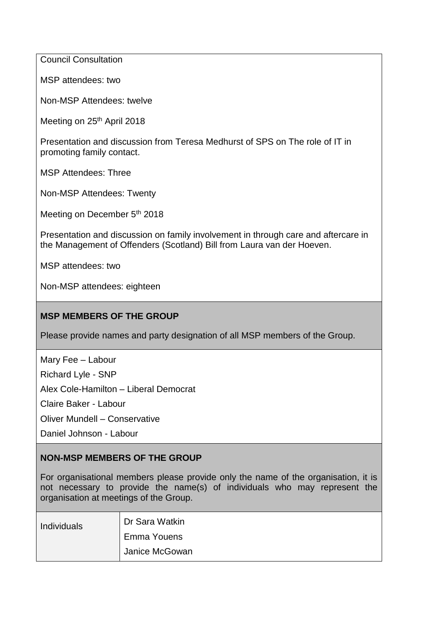Council Consultation

MSP attendees: two

Non-MSP Attendees: twelve

Meeting on 25<sup>th</sup> April 2018

Presentation and discussion from Teresa Medhurst of SPS on The role of IT in promoting family contact.

MSP Attendees: Three

Non-MSP Attendees: Twenty

Meeting on December 5<sup>th</sup> 2018

Presentation and discussion on family involvement in through care and aftercare in the Management of Offenders (Scotland) Bill from Laura van der Hoeven.

MSP attendees: two

Non-MSP attendees: eighteen

## **MSP MEMBERS OF THE GROUP**

Please provide names and party designation of all MSP members of the Group.

Mary Fee – Labour Richard Lyle - SNP Alex Cole-Hamilton – Liberal Democrat Claire Baker - Labour

Oliver Mundell – Conservative

Daniel Johnson - Labour

#### **NON-MSP MEMBERS OF THE GROUP**

For organisational members please provide only the name of the organisation, it is not necessary to provide the name(s) of individuals who may represent the organisation at meetings of the Group.

| Individuals | Dr Sara Watkin     |
|-------------|--------------------|
|             | <b>Emma Youens</b> |
|             | Janice McGowan     |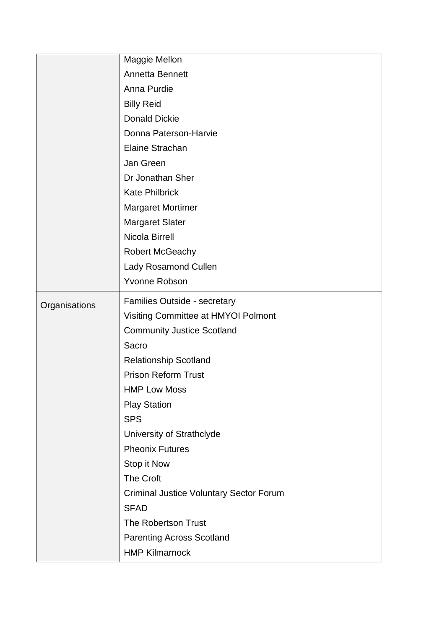|               | Maggie Mellon                                  |
|---------------|------------------------------------------------|
|               | Annetta Bennett                                |
|               | Anna Purdie                                    |
|               | <b>Billy Reid</b>                              |
|               | <b>Donald Dickie</b>                           |
|               | Donna Paterson-Harvie                          |
|               | <b>Elaine Strachan</b>                         |
|               | Jan Green                                      |
|               | Dr Jonathan Sher                               |
|               | <b>Kate Philbrick</b>                          |
|               | <b>Margaret Mortimer</b>                       |
|               | <b>Margaret Slater</b>                         |
|               | Nicola Birrell                                 |
|               | <b>Robert McGeachy</b>                         |
|               | Lady Rosamond Cullen                           |
|               | Yvonne Robson                                  |
| Organisations | Families Outside - secretary                   |
|               | Visiting Committee at HMYOI Polmont            |
|               | <b>Community Justice Scotland</b>              |
|               | Sacro                                          |
|               | <b>Relationship Scotland</b>                   |
|               | <b>Prison Reform Trust</b>                     |
|               | <b>HMP Low Moss</b>                            |
|               | <b>Play Station</b>                            |
|               | <b>SPS</b>                                     |
|               | University of Strathclyde                      |
|               | <b>Pheonix Futures</b>                         |
|               | Stop it Now                                    |
|               | <b>The Croft</b>                               |
|               | <b>Criminal Justice Voluntary Sector Forum</b> |
|               | <b>SFAD</b>                                    |
|               | The Robertson Trust                            |
|               | <b>Parenting Across Scotland</b>               |
|               | <b>HMP Kilmarnock</b>                          |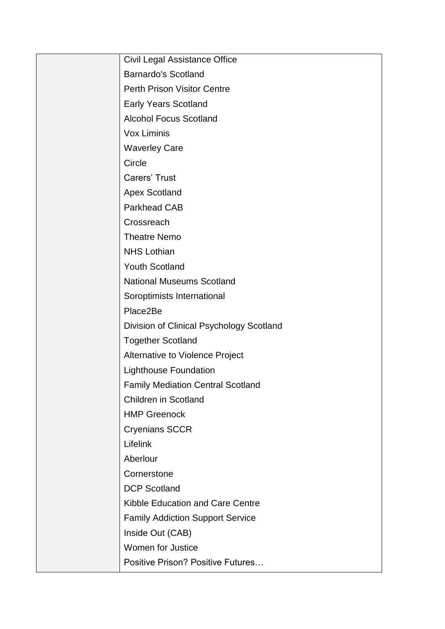| Civil Legal Assistance Office            |
|------------------------------------------|
| <b>Barnardo's Scotland</b>               |
| <b>Perth Prison Visitor Centre</b>       |
| <b>Early Years Scotland</b>              |
| <b>Alcohol Focus Scotland</b>            |
| Vox Liminis                              |
| <b>Waverley Care</b>                     |
| Circle                                   |
| Carers' Trust                            |
| <b>Apex Scotland</b>                     |
| <b>Parkhead CAB</b>                      |
| Crossreach                               |
| <b>Theatre Nemo</b>                      |
| <b>NHS Lothian</b>                       |
| <b>Youth Scotland</b>                    |
| <b>National Museums Scotland</b>         |
| Soroptimists International               |
| Place2Be                                 |
| Division of Clinical Psychology Scotland |
| <b>Together Scotland</b>                 |
| Alternative to Violence Project          |
| <b>Lighthouse Foundation</b>             |
| <b>Family Mediation Central Scotland</b> |
| <b>Children in Scotland</b>              |
| <b>HMP Greenock</b>                      |
| <b>Cryenians SCCR</b>                    |
| Lifelink                                 |
| Aberlour                                 |
| Cornerstone                              |
| <b>DCP Scotland</b>                      |
| Kibble Education and Care Centre         |
| <b>Family Addiction Support Service</b>  |
| Inside Out (CAB)                         |
| Women for Justice                        |
| <b>Positive Prison? Positive Futures</b> |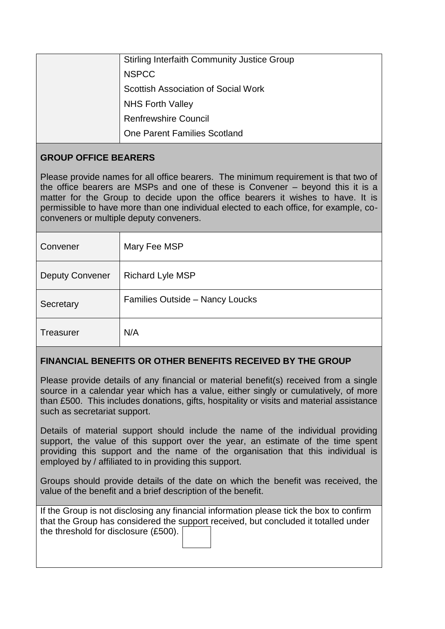| <b>Stirling Interfaith Community Justice Group</b> |
|----------------------------------------------------|
| <b>NSPCC</b>                                       |
| <b>Scottish Association of Social Work</b>         |
| <b>NHS Forth Valley</b>                            |
| <b>Renfrewshire Council</b>                        |
| <b>One Parent Families Scotland</b>                |

## **GROUP OFFICE BEARERS**

Please provide names for all office bearers. The minimum requirement is that two of the office bearers are MSPs and one of these is Convener – beyond this it is a matter for the Group to decide upon the office bearers it wishes to have. It is permissible to have more than one individual elected to each office, for example, coconveners or multiple deputy conveners.

| Convener               | Mary Fee MSP                           |
|------------------------|----------------------------------------|
| <b>Deputy Convener</b> | <b>Richard Lyle MSP</b>                |
| Secretary              | <b>Families Outside - Nancy Loucks</b> |
| <b>Treasurer</b>       | N/A                                    |

## **FINANCIAL BENEFITS OR OTHER BENEFITS RECEIVED BY THE GROUP**

Please provide details of any financial or material benefit(s) received from a single source in a calendar year which has a value, either singly or cumulatively, of more than £500. This includes donations, gifts, hospitality or visits and material assistance such as secretariat support.

Details of material support should include the name of the individual providing support, the value of this support over the year, an estimate of the time spent providing this support and the name of the organisation that this individual is employed by / affiliated to in providing this support.

Groups should provide details of the date on which the benefit was received, the value of the benefit and a brief description of the benefit.

If the Group is not disclosing any financial information please tick the box to confirm that the Group has considered the support received, but concluded it totalled under the threshold for disclosure (£500).